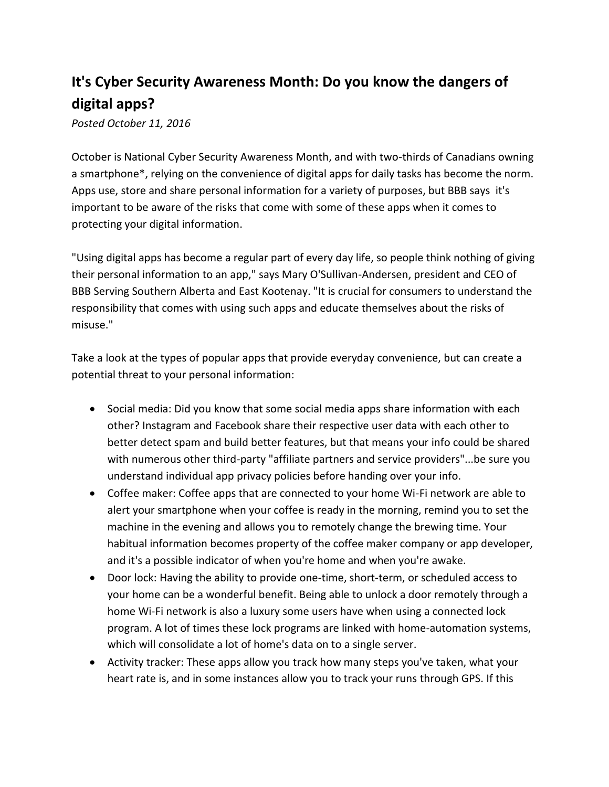## **It's Cyber Security Awareness Month: Do you know the dangers of digital apps?**

*Posted October 11, 2016*

October is National Cyber Security Awareness Month, and with two-thirds of Canadians owning a smartphone\*, relying on the convenience of digital apps for daily tasks has become the norm. Apps use, store and share personal information for a variety of purposes, but BBB says it's important to be aware of the risks that come with some of these apps when it comes to protecting your digital information.

"Using digital apps has become a regular part of every day life, so people think nothing of giving their personal information to an app," says Mary O'Sullivan-Andersen, president and CEO of BBB Serving Southern Alberta and East Kootenay. "It is crucial for consumers to understand the responsibility that comes with using such apps and educate themselves about the risks of misuse."

Take a look at the types of popular apps that provide everyday convenience, but can create a potential threat to your personal information:

- Social media: Did you know that some social media apps share information with each other? Instagram and Facebook share their respective user data with each other to better detect spam and build better features, but that means your info could be shared with numerous other third-party "affiliate partners and service providers"...be sure you understand individual app privacy policies before handing over your info.
- Coffee maker: Coffee apps that are connected to your home Wi-Fi network are able to alert your smartphone when your coffee is ready in the morning, remind you to set the machine in the evening and allows you to remotely change the brewing time. Your habitual information becomes property of the coffee maker company or app developer, and it's a possible indicator of when you're home and when you're awake.
- Door lock: Having the ability to provide one-time, short-term, or scheduled access to your home can be a wonderful benefit. Being able to unlock a door remotely through a home Wi-Fi network is also a luxury some users have when using a connected lock program. A lot of times these lock programs are linked with home-automation systems, which will consolidate a lot of home's data on to a single server.
- Activity tracker: These apps allow you track how many steps you've taken, what your heart rate is, and in some instances allow you to track your runs through GPS. If this